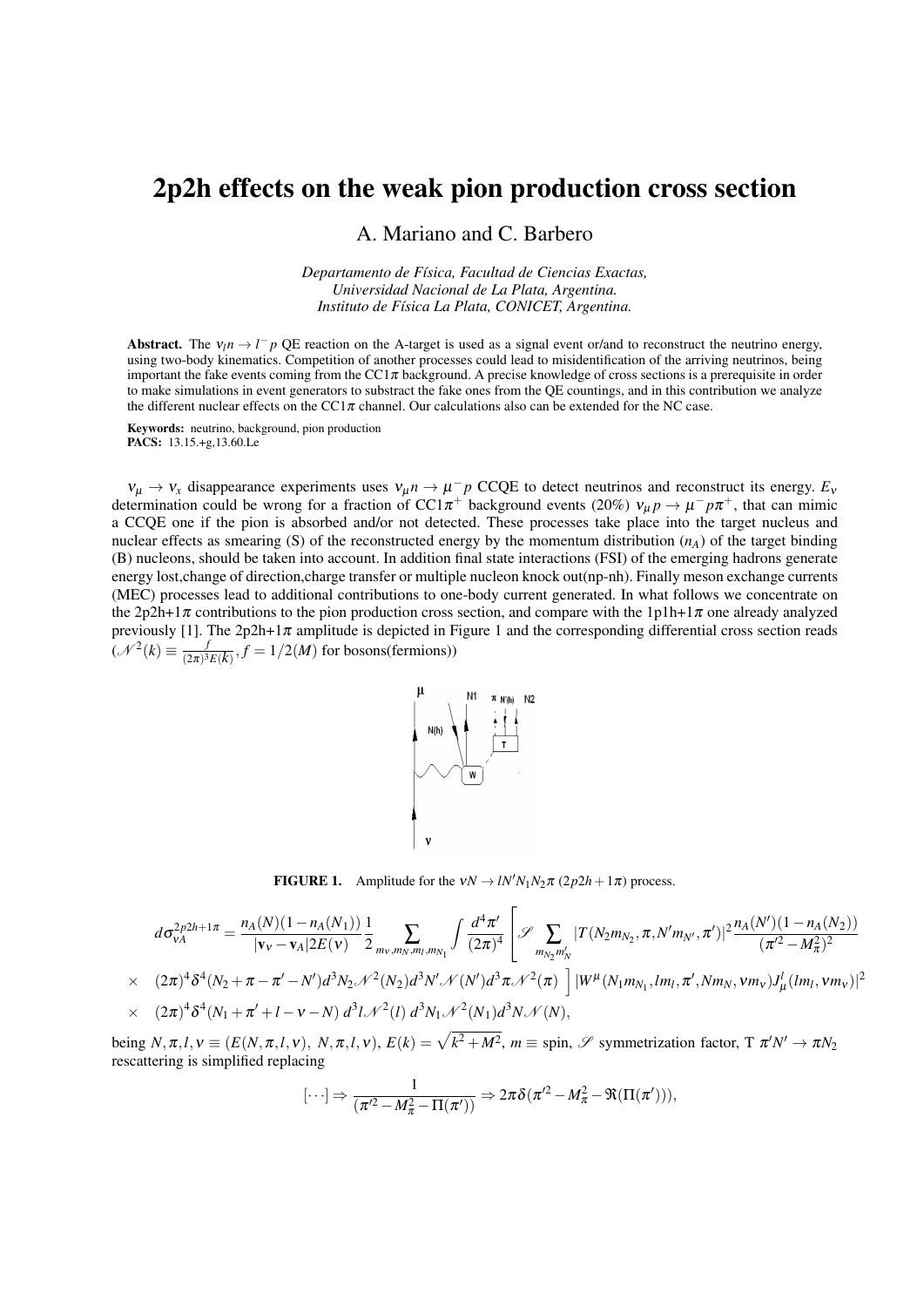## 2p2h effects on the weak pion production cross section

A. Mariano and C. Barbero

*Departamento de Física, Facultad de Ciencias Exactas, Universidad Nacional de La Plata, Argentina. Instituto de Física La Plata, CONICET, Argentina.*

Abstract. The  $v_l n \to l^- p$  QE reaction on the A-target is used as a signal event or/and to reconstruct the neutrino energy, using two-body kinematics. Competition of another processes could lead to misidentification of the arriving neutrinos, being important the fake events coming from the  $CC1\pi$  background. A precise knowledge of cross sections is a prerequisite in order to make simulations in event generators to substract the fake ones from the QE countings, and in this contribution we analyze the different nuclear effects on the CC1 $\pi$  channel. Our calculations also can be extended for the NC case.

Keywords: neutrino, background, pion production PACS: 13.15.+g,13.60.Le

 $v_{\mu} \rightarrow v_{x}$  disappearance experiments uses  $v_{\mu} n \rightarrow \mu^{-} p$  CCQE to detect neutrinos and reconstruct its energy.  $E_{\nu}$ determination could be wrong for a fraction of CC1 $\pi$ <sup>+</sup> background events (20%)  $v_{\mu}p \to \mu^- p \pi^+$ , that can mimic a CCQE one if the pion is absorbed and/or not detected. These processes take place into the target nucleus and nuclear effects as smearing (S) of the reconstructed energy by the momentum distribution (*nA*) of the target binding (B) nucleons, should be taken into account. In addition final state interactions (FSI) of the emerging hadrons generate energy lost,change of direction,charge transfer or multiple nucleon knock out(np-nh). Finally meson exchange currents (MEC) processes lead to additional contributions to one-body current generated. In what follows we concentrate on the 2p2h+1 $\pi$  contributions to the pion production cross section, and compare with the 1p1h+1 $\pi$  one already analyzed previously [1]. The  $2p2h+1\pi$  amplitude is depicted in Figure 1 and the corresponding differential cross section reads  $({\mathscr{N}}^2(k) \equiv \frac{f}{(2\pi)^3}$  $\frac{J}{(2\pi)^3 E(k)}$ ,  $f = 1/2(M)$  for bosons(fermions))



**FIGURE 1.** Amplitude for the  $vN \rightarrow lN^{\prime}N_1N_2\pi$  (2p2*h* + 1 $\pi$ ) process.

$$
d\sigma_{vA}^{2p2h+1\pi} = \frac{n_A(N)(1 - n_A(N_1))}{|\mathbf{v}_v - \mathbf{v}_A| 2E(\mathbf{v})} \frac{1}{2} \sum_{m_v, m_N, m_l, m_{N_1}} \int \frac{d^4 \pi'}{(2\pi)^4} \left[ \mathcal{S} \sum_{m_{N_2} m_N'} |T(N_2 m_{N_2}, \pi, N' m_{N'}, \pi')|^2 \frac{n_A(N')(1 - n_A(N_2))}{(\pi'^2 - M_{\pi}^2)^2} \right]
$$
  
×  $(2\pi)^4 \delta^4 (N_2 + \pi - \pi' - N') d^3 N_2 \mathcal{N}^2 (N_2) d^3 N' \mathcal{N} (N') d^3 \pi \mathcal{N}^2 (\pi) \left[ |W^{\mu}(N_1 m_{N_1}, Im_l, \pi', N m_N, \mathbf{v} m_{\mathbf{v}}) J^l_{\mu} (Im_l, \mathbf{v} m_{\mathbf{v}}) |^2 \right]$   
×  $(2\pi)^4 \delta^4 (N_1 + \pi' + l - \mathbf{v} - N) d^3 l \mathcal{N}^2 (l) d^3 N_1 \mathcal{N}^2 (N_1) d^3 N \mathcal{N} (N),$ 

being  $N, \pi, l, v \equiv (E(N, \pi, l, v), N, \pi, l, v), E(k) = \sqrt{k^2 + M^2}, m \equiv \text{spin}, \mathscr{S}$  symmetrization factor,  $T \pi' N' \to \pi N_2$ rescattering is simplified replacing

$$
[\cdots] \Rightarrow \frac{1}{(\pi'^2 - M_{\pi}^2 - \Pi(\pi'))} \Rightarrow 2\pi\delta(\pi'^2 - M_{\pi}^2 - \Re(\Pi(\pi'))),
$$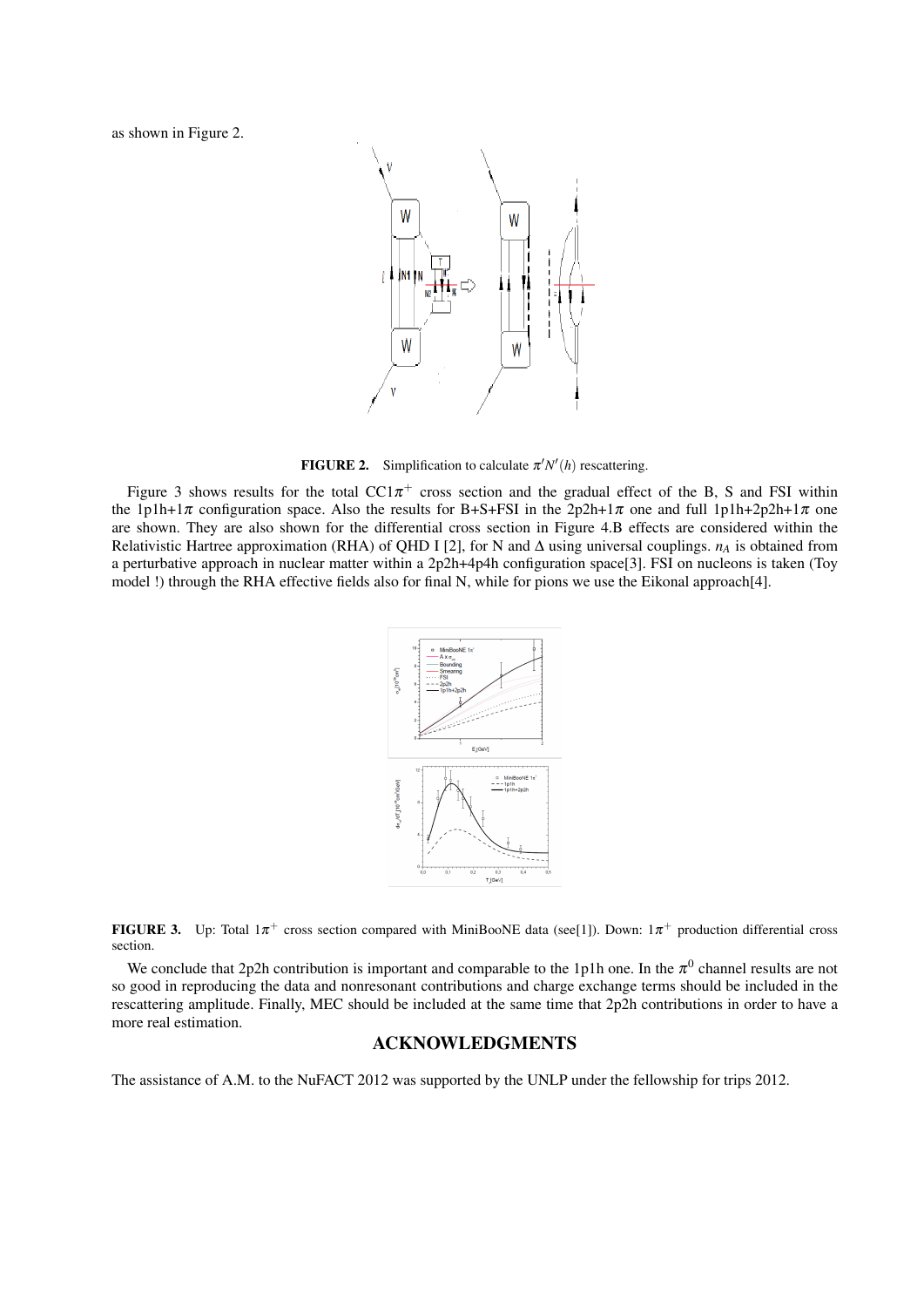as shown in Figure 2.



**FIGURE 2.** Simplification to calculate  $\pi' N'(h)$  rescattering.

Figure 3 shows results for the total  $CC1\pi^+$  cross section and the gradual effect of the B, S and FSI within the 1p1h+1 $\pi$  configuration space. Also the results for B+S+FSI in the 2p2h+1 $\pi$  one and full 1p1h+2p2h+1 $\pi$  one are shown. They are also shown for the differential cross section in Figure 4.B effects are considered within the Relativistic Hartree approximation (RHA) of QHD I [2], for N and ∆ using universal couplings. *n<sup>A</sup>* is obtained from a perturbative approach in nuclear matter within a 2p2h+4p4h configuration space[3]. FSI on nucleons is taken (Toy model !) through the RHA effective fields also for final N, while for pions we use the Eikonal approach[4].



FIGURE 3. Up: Total  $1\pi^+$  cross section compared with MiniBooNE data (see[1]). Down:  $1\pi^+$  production differential cross section.

We conclude that 2p2h contribution is important and comparable to the 1p1h one. In the  $\pi^0$  channel results are not so good in reproducing the data and nonresonant contributions and charge exchange terms should be included in the rescattering amplitude. Finally, MEC should be included at the same time that 2p2h contributions in order to have a more real estimation.

## ACKNOWLEDGMENTS

The assistance of A.M. to the NuFACT 2012 was supported by the UNLP under the fellowship for trips 2012.